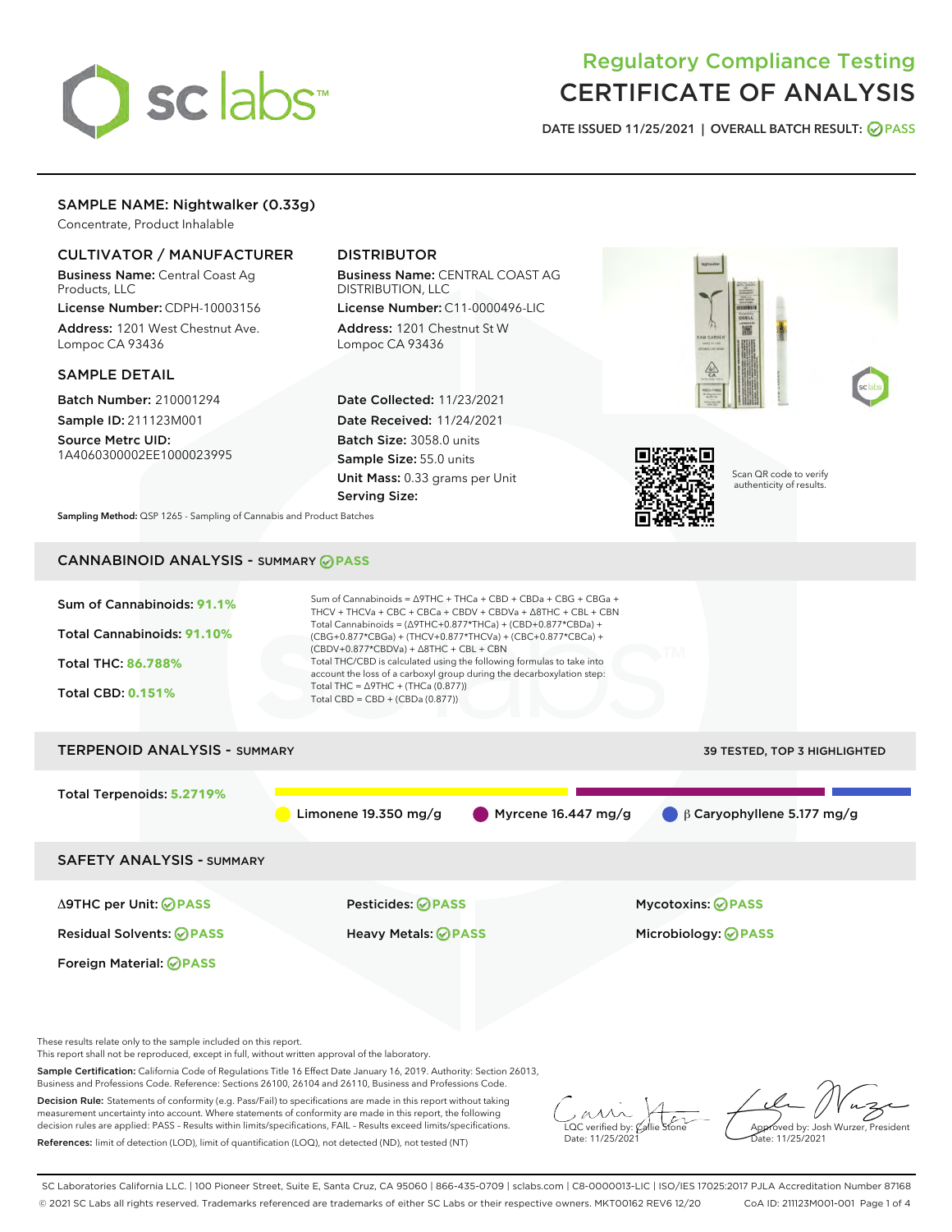

# Regulatory Compliance Testing CERTIFICATE OF ANALYSIS

DATE ISSUED 11/25/2021 | OVERALL BATCH RESULT: @ PASS

# SAMPLE NAME: Nightwalker (0.33g)

Concentrate, Product Inhalable

# CULTIVATOR / MANUFACTURER

Business Name: Central Coast Ag Products, LLC

License Number: CDPH-10003156 Address: 1201 West Chestnut Ave. Lompoc CA 93436

### SAMPLE DETAIL

Batch Number: 210001294 Sample ID: 211123M001

Source Metrc UID: 1A4060300002EE1000023995

# DISTRIBUTOR

Business Name: CENTRAL COAST AG DISTRIBUTION, LLC License Number: C11-0000496-LIC

Address: 1201 Chestnut St W Lompoc CA 93436

Date Collected: 11/23/2021 Date Received: 11/24/2021 Batch Size: 3058.0 units Sample Size: 55.0 units Unit Mass: 0.33 grams per Unit Serving Size:



Sampling Method: QSP 1265 - Sampling of Cannabis and Product Batches

# CANNABINOID ANALYSIS - SUMMARY **PASS**

| Sum of Cannabinoids: 91.1%<br>Total Cannabinoids: 91.10%<br>Total THC: 86.788%<br><b>Total CBD: 0.151%</b> | Sum of Cannabinoids = $\triangle$ 9THC + THCa + CBD + CBDa + CBG + CBGa +<br>THCV + THCVa + CBC + CBCa + CBDV + CBDVa + $\Delta$ 8THC + CBL + CBN<br>Total Cannabinoids = ( $\triangle$ 9THC+0.877*THCa) + (CBD+0.877*CBDa) +<br>(CBG+0.877*CBGa) + (THCV+0.877*THCVa) + (CBC+0.877*CBCa) +<br>$(CBDV+0.877*CBDVa) + \Delta 8THC + CBL + CBN$<br>Total THC/CBD is calculated using the following formulas to take into<br>account the loss of a carboxyl group during the decarboxylation step:<br>Total THC = $\triangle$ 9THC + (THCa (0.877))<br>Total CBD = $CBD + (CBDa (0.877))$ |                                                         |  |  |  |
|------------------------------------------------------------------------------------------------------------|----------------------------------------------------------------------------------------------------------------------------------------------------------------------------------------------------------------------------------------------------------------------------------------------------------------------------------------------------------------------------------------------------------------------------------------------------------------------------------------------------------------------------------------------------------------------------------------|---------------------------------------------------------|--|--|--|
| <b>TERPENOID ANALYSIS - SUMMARY</b>                                                                        |                                                                                                                                                                                                                                                                                                                                                                                                                                                                                                                                                                                        | <b>39 TESTED, TOP 3 HIGHLIGHTED</b>                     |  |  |  |
| Total Terpenoids: 5.2719%                                                                                  | Limonene $19.350$ mg/g                                                                                                                                                                                                                                                                                                                                                                                                                                                                                                                                                                 | Myrcene 16.447 mg/g<br>$\beta$ Caryophyllene 5.177 mg/g |  |  |  |
| <b>SAFETY ANALYSIS - SUMMARY</b>                                                                           |                                                                                                                                                                                                                                                                                                                                                                                                                                                                                                                                                                                        |                                                         |  |  |  |
| ∆9THC per Unit: ⊘PASS                                                                                      | Pesticides: ⊘PASS                                                                                                                                                                                                                                                                                                                                                                                                                                                                                                                                                                      | <b>Mycotoxins: ⊘PASS</b>                                |  |  |  |
| <b>Residual Solvents: ⊘PASS</b>                                                                            | Heavy Metals: ⊘PASS                                                                                                                                                                                                                                                                                                                                                                                                                                                                                                                                                                    | Microbiology: @PASS                                     |  |  |  |
| Foreign Material: <b>⊘ PASS</b>                                                                            |                                                                                                                                                                                                                                                                                                                                                                                                                                                                                                                                                                                        |                                                         |  |  |  |

These results relate only to the sample included on this report.

This report shall not be reproduced, except in full, without written approval of the laboratory.

Sample Certification: California Code of Regulations Title 16 Effect Date January 16, 2019. Authority: Section 26013, Business and Professions Code. Reference: Sections 26100, 26104 and 26110, Business and Professions Code.

Decision Rule: Statements of conformity (e.g. Pass/Fail) to specifications are made in this report without taking measurement uncertainty into account. Where statements of conformity are made in this report, the following decision rules are applied: PASS – Results within limits/specifications, FAIL – Results exceed limits/specifications. References: limit of detection (LOD), limit of quantification (LOQ), not detected (ND), not tested (NT)

 $\sim$  CC verified by:  $\mathscr{C}$  a Date: 11/25/2021

Approved by: Josh Wurzer, President ate: 11/25/2021

SC Laboratories California LLC. | 100 Pioneer Street, Suite E, Santa Cruz, CA 95060 | 866-435-0709 | sclabs.com | C8-0000013-LIC | ISO/IES 17025:2017 PJLA Accreditation Number 87168 © 2021 SC Labs all rights reserved. Trademarks referenced are trademarks of either SC Labs or their respective owners. MKT00162 REV6 12/20 CoA ID: 211123M001-001 Page 1 of 4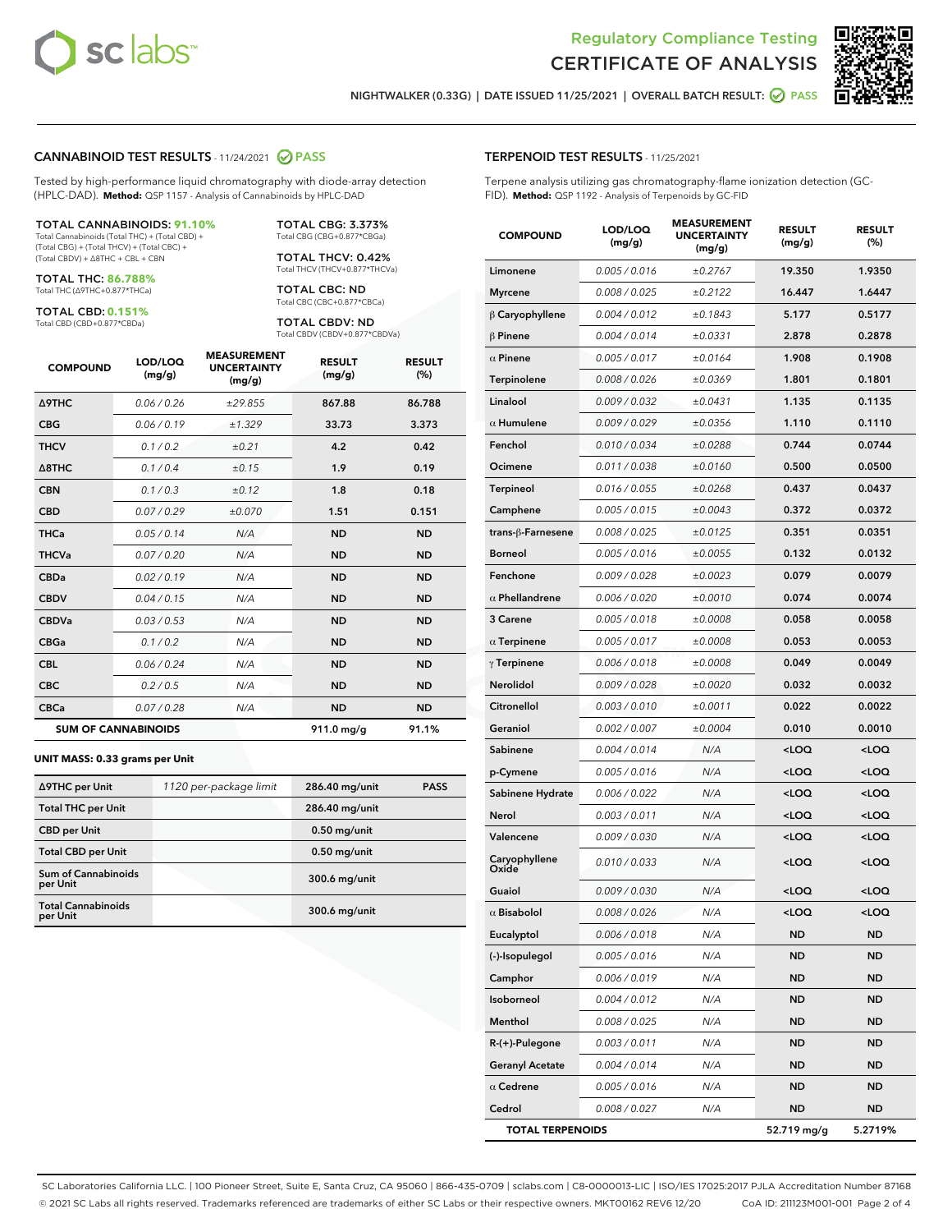



NIGHTWALKER (0.33G) | DATE ISSUED 11/25/2021 | OVERALL BATCH RESULT: **● PASS** 

### CANNABINOID TEST RESULTS - 11/24/2021 2 PASS

Tested by high-performance liquid chromatography with diode-array detection (HPLC-DAD). **Method:** QSP 1157 - Analysis of Cannabinoids by HPLC-DAD

#### TOTAL CANNABINOIDS: **91.10%**

Total Cannabinoids (Total THC) + (Total CBD) + (Total CBG) + (Total THCV) + (Total CBC) + (Total CBDV) + ∆8THC + CBL + CBN

TOTAL THC: **86.788%** Total THC (∆9THC+0.877\*THCa)

TOTAL CBD: **0.151%**

Total CBD (CBD+0.877\*CBDa)

TOTAL CBG: 3.373% Total CBG (CBG+0.877\*CBGa)

TOTAL THCV: 0.42% Total THCV (THCV+0.877\*THCVa)

TOTAL CBC: ND Total CBC (CBC+0.877\*CBCa)

TOTAL CBDV: ND Total CBDV (CBDV+0.877\*CBDVa)

| <b>COMPOUND</b>            | LOD/LOQ<br>(mg/g) | <b>MEASUREMENT</b><br><b>UNCERTAINTY</b><br>(mg/g) | <b>RESULT</b><br>(mg/g) | <b>RESULT</b><br>(%) |
|----------------------------|-------------------|----------------------------------------------------|-------------------------|----------------------|
| <b>A9THC</b>               | 0.06/0.26         | ±29.855                                            | 867.88                  | 86.788               |
| <b>CBG</b>                 | 0.06/0.19         | ±1.329                                             | 33.73                   | 3.373                |
| <b>THCV</b>                | 0.1/0.2           | ±0.21                                              | 4.2                     | 0.42                 |
| $\triangle$ 8THC           | 0.1/0.4           | ±0.15                                              | 1.9                     | 0.19                 |
| <b>CBN</b>                 | 0.1/0.3           | ±0.12                                              | 1.8                     | 0.18                 |
| <b>CBD</b>                 | 0.07/0.29         | ±0.070                                             | 1.51                    | 0.151                |
| <b>THCa</b>                | 0.05/0.14         | N/A                                                | <b>ND</b>               | <b>ND</b>            |
| <b>THCVa</b>               | 0.07/0.20         | N/A                                                | <b>ND</b>               | <b>ND</b>            |
| <b>CBDa</b>                | 0.02/0.19         | N/A                                                | <b>ND</b>               | <b>ND</b>            |
| <b>CBDV</b>                | 0.04 / 0.15       | N/A                                                | <b>ND</b>               | <b>ND</b>            |
| <b>CBDVa</b>               | 0.03 / 0.53       | N/A                                                | <b>ND</b>               | <b>ND</b>            |
| <b>CBGa</b>                | 0.1/0.2           | N/A                                                | <b>ND</b>               | <b>ND</b>            |
| <b>CBL</b>                 | 0.06 / 0.24       | N/A                                                | <b>ND</b>               | <b>ND</b>            |
| <b>CBC</b>                 | 0.2 / 0.5         | N/A                                                | <b>ND</b>               | <b>ND</b>            |
| <b>CBCa</b>                | 0.07/0.28         | N/A                                                | <b>ND</b>               | <b>ND</b>            |
| <b>SUM OF CANNABINOIDS</b> |                   |                                                    | 911.0 mg/g              | 91.1%                |

#### **UNIT MASS: 0.33 grams per Unit**

| ∆9THC per Unit                         | 1120 per-package limit | 286.40 mg/unit  | <b>PASS</b> |
|----------------------------------------|------------------------|-----------------|-------------|
| <b>Total THC per Unit</b>              |                        | 286.40 mg/unit  |             |
| <b>CBD per Unit</b>                    |                        | $0.50$ mg/unit  |             |
| <b>Total CBD per Unit</b>              |                        | $0.50$ mg/unit  |             |
| <b>Sum of Cannabinoids</b><br>per Unit |                        | $300.6$ mg/unit |             |
| <b>Total Cannabinoids</b><br>per Unit  |                        | $300.6$ mg/unit |             |

| <b>COMPOUND</b>         | <b>LOD/LOQ</b><br>(mg/g) | <b>UNCERTAINTY</b><br>(mg/g) | <b>RESULT</b><br>(mg/g)                         | <b>RESULT</b><br>(%) |
|-------------------------|--------------------------|------------------------------|-------------------------------------------------|----------------------|
| Limonene                | 0.005 / 0.016            | ±0.2767                      | 19.350                                          | 1.9350               |
| <b>Myrcene</b>          | 0.008 / 0.025            | ±0.2122                      | 16.447                                          | 1.6447               |
| $\beta$ Caryophyllene   | 0.004 / 0.012            | ±0.1843                      | 5.177                                           | 0.5177               |
| $\beta$ Pinene          | 0.004 / 0.014            | ±0.0331                      | 2.878                                           | 0.2878               |
| $\alpha$ Pinene         | 0.005 / 0.017            | ±0.0164                      | 1.908                                           | 0.1908               |
| Terpinolene             | 0.008 / 0.026            | ±0.0369                      | 1.801                                           | 0.1801               |
| Linalool                | 0.009 / 0.032            | ±0.0431                      | 1.135                                           | 0.1135               |
| $\alpha$ Humulene       | 0.009/0.029              | ±0.0356                      | 1.110                                           | 0.1110               |
| Fenchol                 | 0.010 / 0.034            | ±0.0288                      | 0.744                                           | 0.0744               |
| Ocimene                 | 0.011 / 0.038            | ±0.0160                      | 0.500                                           | 0.0500               |
| Terpineol               | 0.016 / 0.055            | ±0.0268                      | 0.437                                           | 0.0437               |
| Camphene                | 0.005 / 0.015            | ±0.0043                      | 0.372                                           | 0.0372               |
| trans-β-Farnesene       | 0.008 / 0.025            | ±0.0125                      | 0.351                                           | 0.0351               |
| <b>Borneol</b>          | 0.005 / 0.016            | ±0.0055                      | 0.132                                           | 0.0132               |
| Fenchone                | 0.009 / 0.028            | ±0.0023                      | 0.079                                           | 0.0079               |
| $\alpha$ Phellandrene   | 0.006 / 0.020            | ±0.0010                      | 0.074                                           | 0.0074               |
| 3 Carene                | 0.005 / 0.018            | ±0.0008                      | 0.058                                           | 0.0058               |
| $\alpha$ Terpinene      | 0.005 / 0.017            | ±0.0008                      | 0.053                                           | 0.0053               |
| $\gamma$ Terpinene      | 0.006 / 0.018            | ±0.0008                      | 0.049                                           | 0.0049               |
| Nerolidol               | 0.009 / 0.028            | ±0.0020                      | 0.032                                           | 0.0032               |
| Citronellol             | 0.003 / 0.010            | ±0.0011                      | 0.022                                           | 0.0022               |
| Geraniol                | 0.002 / 0.007            | ±0.0004                      | 0.010                                           | 0.0010               |
| Sabinene                | 0.004 / 0.014            | N/A                          | <loq< th=""><th><loq< th=""></loq<></th></loq<> | <loq< th=""></loq<>  |
| p-Cymene                | 0.005 / 0.016            | N/A                          | <loq< th=""><th><loq< th=""></loq<></th></loq<> | <loq< th=""></loq<>  |
| Sabinene Hydrate        | 0.006 / 0.022            | N/A                          | <loq< th=""><th><loq< th=""></loq<></th></loq<> | <loq< th=""></loq<>  |
| Nerol                   | 0.003 / 0.011            | N/A                          | <loq< th=""><th><loq< th=""></loq<></th></loq<> | <loq< th=""></loq<>  |
| Valencene               | 0.009 / 0.030            | N/A                          | <loq< th=""><th><loq< th=""></loq<></th></loq<> | <loq< th=""></loq<>  |
| Caryophyllene<br>Oxide  | 0.010 / 0.033            | N/A                          | <loq< th=""><th><loq< th=""></loq<></th></loq<> | <loq< th=""></loq<>  |
| Guaiol                  | 0.009 / 0.030            | N/A                          | <loq< th=""><th><loq< th=""></loq<></th></loq<> | <loq< th=""></loq<>  |
| $\alpha$ Bisabolol      | 0.008 / 0.026            | N/A                          | <loq< th=""><th><loq< th=""></loq<></th></loq<> | <loq< th=""></loq<>  |
| Eucalyptol              | 0.006 / 0.018            | N/A                          | <b>ND</b>                                       | ND                   |
| (-)-Isopulegol          | 0.005 / 0.016            | N/A                          | ND                                              | ND                   |
| Camphor                 | 0.006 / 0.019            | N/A                          | <b>ND</b>                                       | ND                   |
| Isoborneol              | 0.004 / 0.012            | N/A                          | <b>ND</b>                                       | ND                   |
| Menthol                 | 0.008 / 0.025            | N/A                          | ND                                              | ND                   |
| R-(+)-Pulegone          | 0.003 / 0.011            | N/A                          | ND                                              | ND                   |
| <b>Geranyl Acetate</b>  | 0.004 / 0.014            | N/A                          | <b>ND</b>                                       | ND                   |
| $\alpha$ Cedrene        | 0.005 / 0.016            | N/A                          | ND                                              | ND                   |
| Cedrol                  | 0.008 / 0.027            | N/A                          | <b>ND</b>                                       | ND                   |
| <b>TOTAL TERPENOIDS</b> |                          |                              | 52.719 mg/g                                     | 5.2719%              |

SC Laboratories California LLC. | 100 Pioneer Street, Suite E, Santa Cruz, CA 95060 | 866-435-0709 | sclabs.com | C8-0000013-LIC | ISO/IES 17025:2017 PJLA Accreditation Number 87168 © 2021 SC Labs all rights reserved. Trademarks referenced are trademarks of either SC Labs or their respective owners. MKT00162 REV6 12/20 CoA ID: 211123M001-001 Page 2 of 4

# TERPENOID TEST RESULTS - 11/25/2021

Terpene analysis utilizing gas chromatography-flame ionization detection (GC-FID). **Method:** QSP 1192 - Analysis of Terpenoids by GC-FID

MEASUREMENT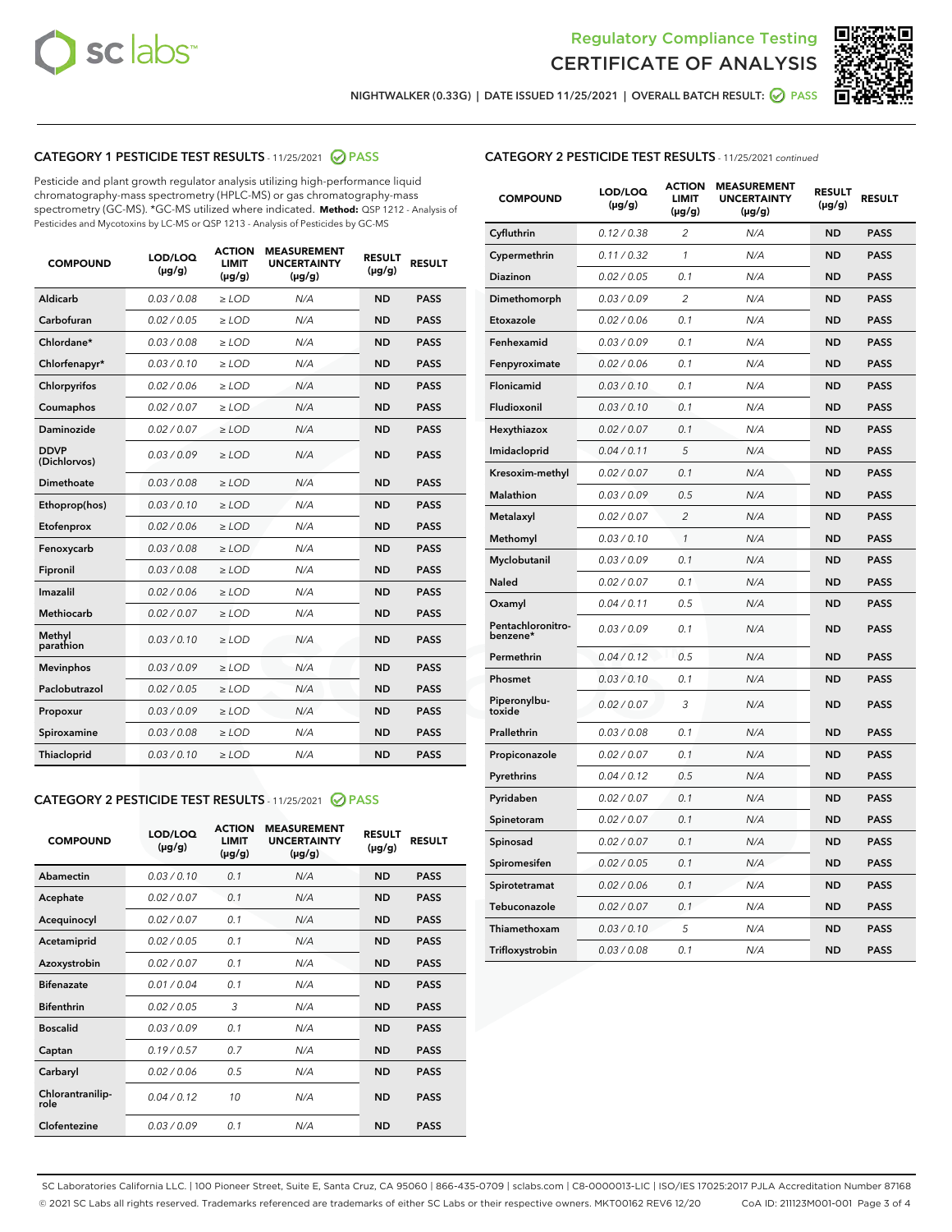



NIGHTWALKER (0.33G) | DATE ISSUED 11/25/2021 | OVERALL BATCH RESULT: **⊘** PASS

# CATEGORY 1 PESTICIDE TEST RESULTS - 11/25/2021 2 PASS

Pesticide and plant growth regulator analysis utilizing high-performance liquid chromatography-mass spectrometry (HPLC-MS) or gas chromatography-mass spectrometry (GC-MS). \*GC-MS utilized where indicated. **Method:** QSP 1212 - Analysis of Pesticides and Mycotoxins by LC-MS or QSP 1213 - Analysis of Pesticides by GC-MS

| Aldicarb<br>0.03 / 0.08<br>$\ge$ LOD<br>N/A<br><b>ND</b><br><b>PASS</b><br>Carbofuran<br>0.02 / 0.05<br><b>ND</b><br><b>PASS</b><br>$\ge$ LOD<br>N/A<br>Chlordane*<br>0.03 / 0.08<br>$\ge$ LOD<br>N/A<br><b>ND</b><br><b>PASS</b><br>Chlorfenapyr*<br>0.03/0.10<br>N/A<br><b>ND</b><br><b>PASS</b><br>$\ge$ LOD<br>N/A<br><b>ND</b><br><b>PASS</b><br>Chlorpyrifos<br>0.02 / 0.06<br>$\ge$ LOD<br>0.02 / 0.07<br>Coumaphos<br>$>$ LOD<br>N/A<br><b>ND</b><br><b>PASS</b><br>Daminozide<br>0.02/0.07<br>N/A<br><b>ND</b><br>$>$ LOD<br><b>PASS</b><br><b>DDVP</b><br>0.03/0.09<br>$\ge$ LOD<br>N/A<br><b>ND</b><br><b>PASS</b><br>(Dichlorvos)<br>Dimethoate<br>0.03 / 0.08<br>$\ge$ LOD<br>N/A<br><b>ND</b><br><b>PASS</b><br>0.03/0.10<br><b>ND</b><br><b>PASS</b><br>$\ge$ LOD<br>N/A<br>Ethoprop(hos)<br>0.02 / 0.06<br>$\ge$ LOD<br>N/A<br><b>ND</b><br><b>PASS</b><br>Etofenprox<br>0.03 / 0.08<br>$\ge$ LOD<br>N/A<br><b>ND</b><br><b>PASS</b><br>Fenoxycarb<br>0.03 / 0.08<br>Fipronil<br>$\ge$ LOD<br>N/A<br><b>ND</b><br><b>PASS</b><br>Imazalil<br>0.02 / 0.06<br>$\ge$ LOD<br>N/A<br><b>ND</b><br><b>PASS</b><br>Methiocarb<br>0.02 / 0.07<br>N/A<br><b>ND</b><br>$>$ LOD<br><b>PASS</b><br>Methyl<br>N/A<br><b>ND</b><br>0.03/0.10<br>$\ge$ LOD<br><b>PASS</b><br>parathion<br>0.03/0.09<br>N/A<br><b>ND</b><br><b>PASS</b><br><b>Mevinphos</b><br>$\ge$ LOD<br>Paclobutrazol<br>0.02 / 0.05<br><b>ND</b><br><b>PASS</b><br>$\ge$ LOD<br>N/A<br>0.03/0.09<br>$\ge$ LOD<br>N/A<br><b>ND</b><br><b>PASS</b><br>Propoxur<br>0.03 / 0.08<br>$\ge$ LOD<br>N/A<br><b>ND</b><br><b>PASS</b><br>Spiroxamine<br>0.03/0.10<br>Thiacloprid<br>$\ge$ LOD<br>N/A<br><b>ND</b><br><b>PASS</b> | <b>COMPOUND</b> | LOD/LOQ<br>$(\mu g/g)$ | <b>ACTION</b><br><b>LIMIT</b><br>$(\mu g/g)$ | <b>MEASUREMENT</b><br><b>UNCERTAINTY</b><br>$(\mu g/g)$ | <b>RESULT</b><br>$(\mu g/g)$ | <b>RESULT</b> |
|---------------------------------------------------------------------------------------------------------------------------------------------------------------------------------------------------------------------------------------------------------------------------------------------------------------------------------------------------------------------------------------------------------------------------------------------------------------------------------------------------------------------------------------------------------------------------------------------------------------------------------------------------------------------------------------------------------------------------------------------------------------------------------------------------------------------------------------------------------------------------------------------------------------------------------------------------------------------------------------------------------------------------------------------------------------------------------------------------------------------------------------------------------------------------------------------------------------------------------------------------------------------------------------------------------------------------------------------------------------------------------------------------------------------------------------------------------------------------------------------------------------------------------------------------------------------------------------------------------------------------------------------------------------------------------------------|-----------------|------------------------|----------------------------------------------|---------------------------------------------------------|------------------------------|---------------|
|                                                                                                                                                                                                                                                                                                                                                                                                                                                                                                                                                                                                                                                                                                                                                                                                                                                                                                                                                                                                                                                                                                                                                                                                                                                                                                                                                                                                                                                                                                                                                                                                                                                                                             |                 |                        |                                              |                                                         |                              |               |
|                                                                                                                                                                                                                                                                                                                                                                                                                                                                                                                                                                                                                                                                                                                                                                                                                                                                                                                                                                                                                                                                                                                                                                                                                                                                                                                                                                                                                                                                                                                                                                                                                                                                                             |                 |                        |                                              |                                                         |                              |               |
|                                                                                                                                                                                                                                                                                                                                                                                                                                                                                                                                                                                                                                                                                                                                                                                                                                                                                                                                                                                                                                                                                                                                                                                                                                                                                                                                                                                                                                                                                                                                                                                                                                                                                             |                 |                        |                                              |                                                         |                              |               |
|                                                                                                                                                                                                                                                                                                                                                                                                                                                                                                                                                                                                                                                                                                                                                                                                                                                                                                                                                                                                                                                                                                                                                                                                                                                                                                                                                                                                                                                                                                                                                                                                                                                                                             |                 |                        |                                              |                                                         |                              |               |
|                                                                                                                                                                                                                                                                                                                                                                                                                                                                                                                                                                                                                                                                                                                                                                                                                                                                                                                                                                                                                                                                                                                                                                                                                                                                                                                                                                                                                                                                                                                                                                                                                                                                                             |                 |                        |                                              |                                                         |                              |               |
|                                                                                                                                                                                                                                                                                                                                                                                                                                                                                                                                                                                                                                                                                                                                                                                                                                                                                                                                                                                                                                                                                                                                                                                                                                                                                                                                                                                                                                                                                                                                                                                                                                                                                             |                 |                        |                                              |                                                         |                              |               |
|                                                                                                                                                                                                                                                                                                                                                                                                                                                                                                                                                                                                                                                                                                                                                                                                                                                                                                                                                                                                                                                                                                                                                                                                                                                                                                                                                                                                                                                                                                                                                                                                                                                                                             |                 |                        |                                              |                                                         |                              |               |
|                                                                                                                                                                                                                                                                                                                                                                                                                                                                                                                                                                                                                                                                                                                                                                                                                                                                                                                                                                                                                                                                                                                                                                                                                                                                                                                                                                                                                                                                                                                                                                                                                                                                                             |                 |                        |                                              |                                                         |                              |               |
|                                                                                                                                                                                                                                                                                                                                                                                                                                                                                                                                                                                                                                                                                                                                                                                                                                                                                                                                                                                                                                                                                                                                                                                                                                                                                                                                                                                                                                                                                                                                                                                                                                                                                             |                 |                        |                                              |                                                         |                              |               |
|                                                                                                                                                                                                                                                                                                                                                                                                                                                                                                                                                                                                                                                                                                                                                                                                                                                                                                                                                                                                                                                                                                                                                                                                                                                                                                                                                                                                                                                                                                                                                                                                                                                                                             |                 |                        |                                              |                                                         |                              |               |
|                                                                                                                                                                                                                                                                                                                                                                                                                                                                                                                                                                                                                                                                                                                                                                                                                                                                                                                                                                                                                                                                                                                                                                                                                                                                                                                                                                                                                                                                                                                                                                                                                                                                                             |                 |                        |                                              |                                                         |                              |               |
|                                                                                                                                                                                                                                                                                                                                                                                                                                                                                                                                                                                                                                                                                                                                                                                                                                                                                                                                                                                                                                                                                                                                                                                                                                                                                                                                                                                                                                                                                                                                                                                                                                                                                             |                 |                        |                                              |                                                         |                              |               |
|                                                                                                                                                                                                                                                                                                                                                                                                                                                                                                                                                                                                                                                                                                                                                                                                                                                                                                                                                                                                                                                                                                                                                                                                                                                                                                                                                                                                                                                                                                                                                                                                                                                                                             |                 |                        |                                              |                                                         |                              |               |
|                                                                                                                                                                                                                                                                                                                                                                                                                                                                                                                                                                                                                                                                                                                                                                                                                                                                                                                                                                                                                                                                                                                                                                                                                                                                                                                                                                                                                                                                                                                                                                                                                                                                                             |                 |                        |                                              |                                                         |                              |               |
|                                                                                                                                                                                                                                                                                                                                                                                                                                                                                                                                                                                                                                                                                                                                                                                                                                                                                                                                                                                                                                                                                                                                                                                                                                                                                                                                                                                                                                                                                                                                                                                                                                                                                             |                 |                        |                                              |                                                         |                              |               |
|                                                                                                                                                                                                                                                                                                                                                                                                                                                                                                                                                                                                                                                                                                                                                                                                                                                                                                                                                                                                                                                                                                                                                                                                                                                                                                                                                                                                                                                                                                                                                                                                                                                                                             |                 |                        |                                              |                                                         |                              |               |
|                                                                                                                                                                                                                                                                                                                                                                                                                                                                                                                                                                                                                                                                                                                                                                                                                                                                                                                                                                                                                                                                                                                                                                                                                                                                                                                                                                                                                                                                                                                                                                                                                                                                                             |                 |                        |                                              |                                                         |                              |               |
|                                                                                                                                                                                                                                                                                                                                                                                                                                                                                                                                                                                                                                                                                                                                                                                                                                                                                                                                                                                                                                                                                                                                                                                                                                                                                                                                                                                                                                                                                                                                                                                                                                                                                             |                 |                        |                                              |                                                         |                              |               |
|                                                                                                                                                                                                                                                                                                                                                                                                                                                                                                                                                                                                                                                                                                                                                                                                                                                                                                                                                                                                                                                                                                                                                                                                                                                                                                                                                                                                                                                                                                                                                                                                                                                                                             |                 |                        |                                              |                                                         |                              |               |
|                                                                                                                                                                                                                                                                                                                                                                                                                                                                                                                                                                                                                                                                                                                                                                                                                                                                                                                                                                                                                                                                                                                                                                                                                                                                                                                                                                                                                                                                                                                                                                                                                                                                                             |                 |                        |                                              |                                                         |                              |               |
|                                                                                                                                                                                                                                                                                                                                                                                                                                                                                                                                                                                                                                                                                                                                                                                                                                                                                                                                                                                                                                                                                                                                                                                                                                                                                                                                                                                                                                                                                                                                                                                                                                                                                             |                 |                        |                                              |                                                         |                              |               |

# CATEGORY 2 PESTICIDE TEST RESULTS - 11/25/2021 @ PASS

| <b>COMPOUND</b>          | LOD/LOO<br>$(\mu g/g)$ | <b>ACTION</b><br>LIMIT<br>$(\mu g/g)$ | <b>MEASUREMENT</b><br><b>UNCERTAINTY</b><br>$(\mu g/g)$ | <b>RESULT</b><br>$(\mu g/g)$ | <b>RESULT</b> |  |
|--------------------------|------------------------|---------------------------------------|---------------------------------------------------------|------------------------------|---------------|--|
| Abamectin                | 0.03/0.10              | 0.1                                   | N/A                                                     | <b>ND</b>                    | <b>PASS</b>   |  |
| Acephate                 | 0.02/0.07              | 0.1                                   | N/A                                                     | <b>ND</b>                    | <b>PASS</b>   |  |
| Acequinocyl              | 0.02/0.07              | 0.1                                   | N/A                                                     | <b>ND</b>                    | <b>PASS</b>   |  |
| Acetamiprid              | 0.02/0.05              | 0.1                                   | N/A                                                     | <b>ND</b>                    | <b>PASS</b>   |  |
| Azoxystrobin             | 0.02/0.07              | 0.1                                   | N/A                                                     | <b>ND</b>                    | <b>PASS</b>   |  |
| <b>Bifenazate</b>        | 0.01/0.04              | 0.1                                   | N/A                                                     | <b>ND</b>                    | <b>PASS</b>   |  |
| <b>Bifenthrin</b>        | 0.02/0.05              | 3                                     | N/A                                                     | <b>ND</b>                    | <b>PASS</b>   |  |
| <b>Boscalid</b>          | 0.03/0.09              | 0.1                                   | N/A                                                     | <b>ND</b>                    | <b>PASS</b>   |  |
| Captan                   | 0.19/0.57              | 0.7                                   | N/A                                                     | <b>ND</b>                    | <b>PASS</b>   |  |
| Carbaryl                 | 0.02/0.06              | 0.5                                   | N/A                                                     | <b>ND</b>                    | <b>PASS</b>   |  |
| Chlorantranilip-<br>role | 0.04/0.12              | 10                                    | N/A                                                     | <b>ND</b>                    | <b>PASS</b>   |  |
| Clofentezine             | 0.03/0.09              | 0.1                                   | N/A                                                     | <b>ND</b>                    | <b>PASS</b>   |  |

# CATEGORY 2 PESTICIDE TEST RESULTS - 11/25/2021 continued

| <b>COMPOUND</b>               | LOD/LOQ<br>(µg/g) | <b>ACTION</b><br><b>LIMIT</b><br>(µg/g) | <b>MEASUREMENT</b><br><b>UNCERTAINTY</b><br>$(\mu g/g)$ | <b>RESULT</b><br>(µg/g) | <b>RESULT</b> |
|-------------------------------|-------------------|-----------------------------------------|---------------------------------------------------------|-------------------------|---------------|
| Cyfluthrin                    | 0.12 / 0.38       | $\overline{c}$                          | N/A                                                     | <b>ND</b>               | <b>PASS</b>   |
| Cypermethrin                  | 0.11 / 0.32       | $\mathcal{I}$                           | N/A                                                     | <b>ND</b>               | <b>PASS</b>   |
| <b>Diazinon</b>               | 0.02 / 0.05       | 0.1                                     | N/A                                                     | <b>ND</b>               | <b>PASS</b>   |
| Dimethomorph                  | 0.03 / 0.09       | 2                                       | N/A                                                     | <b>ND</b>               | <b>PASS</b>   |
| Etoxazole                     | 0.02 / 0.06       | 0.1                                     | N/A                                                     | <b>ND</b>               | <b>PASS</b>   |
| Fenhexamid                    | 0.03 / 0.09       | 0.1                                     | N/A                                                     | <b>ND</b>               | <b>PASS</b>   |
| Fenpyroximate                 | 0.02 / 0.06       | 0.1                                     | N/A                                                     | <b>ND</b>               | <b>PASS</b>   |
| Flonicamid                    | 0.03/0.10         | 0.1                                     | N/A                                                     | <b>ND</b>               | <b>PASS</b>   |
| Fludioxonil                   | 0.03/0.10         | 0.1                                     | N/A                                                     | <b>ND</b>               | <b>PASS</b>   |
| Hexythiazox                   | 0.02 / 0.07       | 0.1                                     | N/A                                                     | <b>ND</b>               | <b>PASS</b>   |
| Imidacloprid                  | 0.04 / 0.11       | 5                                       | N/A                                                     | <b>ND</b>               | <b>PASS</b>   |
| Kresoxim-methyl               | 0.02 / 0.07       | 0.1                                     | N/A                                                     | <b>ND</b>               | <b>PASS</b>   |
| Malathion                     | 0.03 / 0.09       | 0.5                                     | N/A                                                     | <b>ND</b>               | <b>PASS</b>   |
| Metalaxyl                     | 0.02 / 0.07       | $\overline{c}$                          | N/A                                                     | <b>ND</b>               | <b>PASS</b>   |
| Methomyl                      | 0.03/0.10         | 1                                       | N/A                                                     | <b>ND</b>               | <b>PASS</b>   |
| Myclobutanil                  | 0.03 / 0.09       | 0.1                                     | N/A                                                     | <b>ND</b>               | <b>PASS</b>   |
| Naled                         | 0.02 / 0.07       | 0.1                                     | N/A                                                     | <b>ND</b>               | <b>PASS</b>   |
| Oxamyl                        | 0.04 / 0.11       | 0.5                                     | N/A                                                     | ND                      | <b>PASS</b>   |
| Pentachloronitro-<br>benzene* | 0.03 / 0.09       | 0.1                                     | N/A                                                     | <b>ND</b>               | <b>PASS</b>   |
| Permethrin                    | 0.04 / 0.12       | 0.5                                     | N/A                                                     | <b>ND</b>               | <b>PASS</b>   |
| Phosmet                       | 0.03 / 0.10       | 0.1                                     | N/A                                                     | <b>ND</b>               | <b>PASS</b>   |
| Piperonylbu-<br>toxide        | 0.02 / 0.07       | 3                                       | N/A                                                     | <b>ND</b>               | <b>PASS</b>   |
| Prallethrin                   | 0.03 / 0.08       | 0.1                                     | N/A                                                     | <b>ND</b>               | <b>PASS</b>   |
| Propiconazole                 | 0.02 / 0.07       | 0.1                                     | N/A                                                     | <b>ND</b>               | <b>PASS</b>   |
| Pyrethrins                    | 0.04 / 0.12       | 0.5                                     | N/A                                                     | <b>ND</b>               | <b>PASS</b>   |
| Pyridaben                     | 0.02 / 0.07       | 0.1                                     | N/A                                                     | <b>ND</b>               | <b>PASS</b>   |
| Spinetoram                    | 0.02 / 0.07       | 0.1                                     | N/A                                                     | <b>ND</b>               | <b>PASS</b>   |
| Spinosad                      | 0.02 / 0.07       | 0.1                                     | N/A                                                     | <b>ND</b>               | <b>PASS</b>   |
| Spiromesifen                  | 0.02 / 0.05       | 0.1                                     | N/A                                                     | <b>ND</b>               | <b>PASS</b>   |
| Spirotetramat                 | 0.02 / 0.06       | 0.1                                     | N/A                                                     | <b>ND</b>               | <b>PASS</b>   |
| Tebuconazole                  | 0.02 / 0.07       | 0.1                                     | N/A                                                     | <b>ND</b>               | <b>PASS</b>   |
| Thiamethoxam                  | 0.03 / 0.10       | 5                                       | N/A                                                     | <b>ND</b>               | <b>PASS</b>   |
| Trifloxystrobin               | 0.03 / 0.08       | 0.1                                     | N/A                                                     | <b>ND</b>               | <b>PASS</b>   |

SC Laboratories California LLC. | 100 Pioneer Street, Suite E, Santa Cruz, CA 95060 | 866-435-0709 | sclabs.com | C8-0000013-LIC | ISO/IES 17025:2017 PJLA Accreditation Number 87168 © 2021 SC Labs all rights reserved. Trademarks referenced are trademarks of either SC Labs or their respective owners. MKT00162 REV6 12/20 CoA ID: 211123M001-001 Page 3 of 4